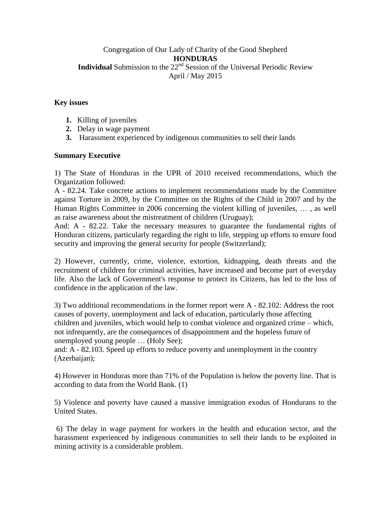# Congregation of Our Lady of Charity of the Good Shepherd **HONDURAS Individual** Submission to the 22<sup>nd</sup> Session of the Universal Periodic Review April / May 2015

# **Key issues**

- **1.** Killing of juveniles
- **2.** Delay in wage payment
- **3.** Harassment experienced by indigenous communities to sell their lands

# **Summary Executive**

1) The State of Honduras in the UPR of 2010 received recommendations, which the Organization followed:

A - 82.24. Take concrete actions to implement recommendations made by the Committee against Torture in 2009, by the Committee on the Rights of the Child in 2007 and by the Human Rights Committee in 2006 concerning the violent killing of juveniles, … , as well as raise awareness about the mistreatment of children (Uruguay);

And: A - 82.22. Take the necessary measures to guarantee the fundamental rights of Honduran citizens, particularly regarding the right to life, stepping up efforts to ensure food security and improving the general security for people (Switzerland);

2) However, currently, crime, violence, extortion, kidnapping, death threats and the recruitment of children for criminal activities, have increased and become part of everyday life. Also the lack of Government's response to protect its Citizens, has led to the loss of confidence in the application of the law.

3) Two additional recommendations in the former report were A - 82.102: Address the root causes of poverty, unemployment and lack of education, particularly those affecting children and juveniles, which would help to combat violence and organized crime – which, not infrequently, are the consequences of disappointment and the hopeless future of unemployed young people … (Holy See);

and: A - 82.103. Speed up efforts to reduce poverty and unemployment in the country (Azerbaijan);

4) However in Honduras more than 71% of the Population is below the poverty line. That is according to data from the World Bank. (1)

5) Violence and poverty have caused a massive immigration exodus of Hondurans to the United States.

6) The delay in wage payment for workers in the health and education sector, and the harassment experienced by indigenous communities to sell their lands to be exploited in mining activity is a considerable problem.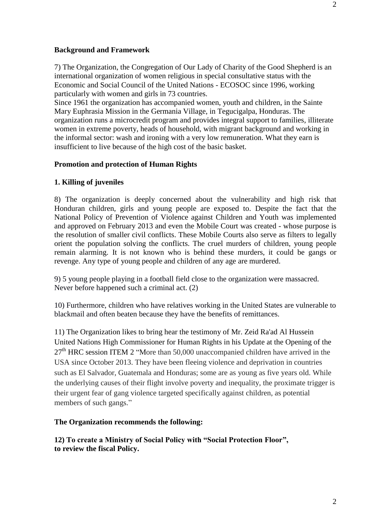#### **Background and Framework**

7) The Organization, the Congregation of Our Lady of Charity of the Good Shepherd is an international organization of women religious in special consultative status with the Economic and Social Council of the United Nations - ECOSOC since 1996, working particularly with women and girls in 73 countries.

Since 1961 the organization has accompanied women, youth and children, in the Sainte Mary Euphrasia Mission in the Germania Village, in Tegucigalpa, Honduras. The organization runs a microcredit program and provides integral support to families, illiterate women in extreme poverty, heads of household, with migrant background and working in the informal sector: wash and ironing with a very low remuneration. What they earn is insufficient to live because of the high cost of the basic basket.

# **Promotion and protection of Human Rights**

## **1. Killing of juveniles**

8) The organization is deeply concerned about the vulnerability and high risk that Honduran children, girls and young people are exposed to. Despite the fact that the National Policy of Prevention of Violence against Children and Youth was implemented and approved on February 2013 and even the Mobile Court was created - whose purpose is the resolution of smaller civil conflicts. These Mobile Courts also serve as filters to legally orient the population solving the conflicts. The cruel murders of children, young people remain alarming. It is not known who is behind these murders, it could be gangs or revenge. Any type of young people and children of any age are murdered.

9) 5 young people playing in a football field close to the organization were massacred. Never before happened such a criminal act. (2)

10) Furthermore, children who have relatives working in the United States are vulnerable to blackmail and often beaten because they have the benefits of remittances.

11) The Organization likes to bring hear the testimony of Mr. Zeid Ra'ad Al Hussein United Nations High Commissioner for Human Rights in his Update at the Opening of the  $27<sup>th</sup>$  HRC session ITEM 2 "More than 50,000 unaccompanied children have arrived in the USA since October 2013. They have been fleeing violence and deprivation in countries such as El Salvador, Guatemala and Honduras; some are as young as five years old. While the underlying causes of their flight involve poverty and inequality, the proximate trigger is their urgent fear of gang violence targeted specifically against children, as potential members of such gangs."

#### **The Organization recommends the following:**

**12) To create a Ministry of Social Policy with "Social Protection Floor", to review the fiscal Policy.**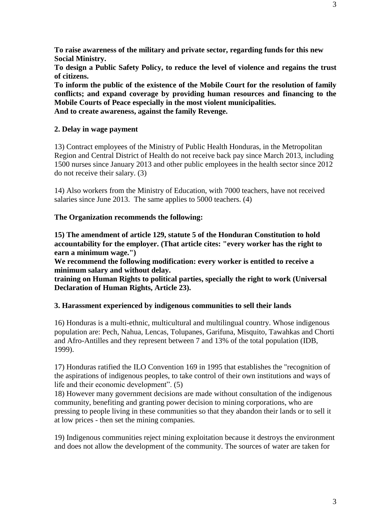**To raise awareness of the military and private sector, regarding funds for this new Social Ministry.**

**To design a Public Safety Policy, to reduce the level of violence and regains the trust of citizens.**

**To inform the public of the existence of the Mobile Court for the resolution of family conflicts; and expand coverage by providing human resources and financing to the Mobile Courts of Peace especially in the most violent municipalities. And to create awareness, against the family Revenge.**

# **2. Delay in wage payment**

13) Contract employees of the Ministry of Public Health Honduras, in the Metropolitan Region and Central District of Health do not receive back pay since March 2013, including 1500 nurses since January 2013 and other public employees in the health sector since 2012 do not receive their salary. (3)

14) Also workers from the Ministry of Education, with 7000 teachers, have not received salaries since June 2013. The same applies to 5000 teachers. (4)

# **The Organization recommends the following:**

**15) The amendment of article 129, statute 5 of the Honduran Constitution to hold accountability for the employer. (That article cites: "every worker has the right to earn a minimum wage.")**

**We recommend the following modification: every worker is entitled to receive a minimum salary and without delay.**

**training on Human Rights to political parties, specially the right to work (Universal Declaration of Human Rights, Article 23).**

# **3. Harassment experienced by indigenous communities to sell their lands**

16) Honduras is a multi-ethnic, multicultural and multilingual country. Whose indigenous population are: Pech, Nahua, Lencas, Tolupanes, Garifuna, Misquito, Tawahkas and Chorti and Afro-Antilles and they represent between 7 and 13% of the total population (IDB, 1999).

17) Honduras ratified the ILO Convention 169 in 1995 that establishes the "recognition of the aspirations of indigenous peoples, to take control of their own institutions and ways of life and their economic development". (5)

18) However many government decisions are made without consultation of the indigenous community, benefiting and granting power decision to mining corporations, who are pressing to people living in these communities so that they abandon their lands or to sell it at low prices - then set the mining companies.

19) Indigenous communities reject mining exploitation because it destroys the environment and does not allow the development of the community. The sources of water are taken for